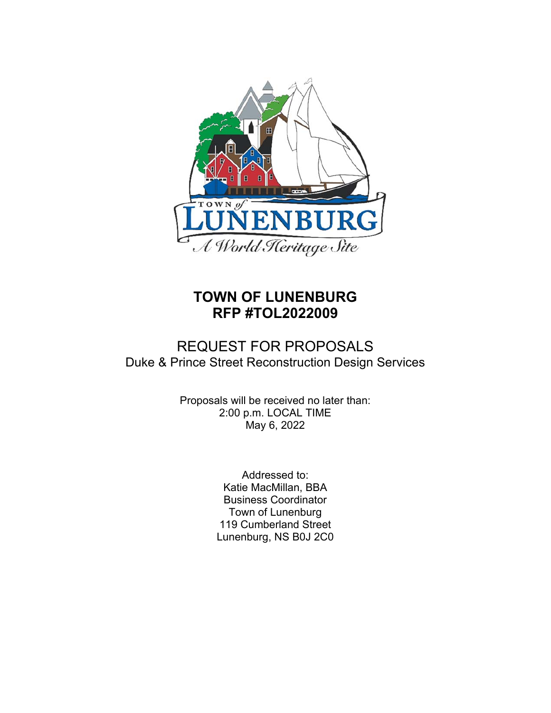

# **TOWN OF LUNENBURG RFP #TOL2022009**

## REQUEST FOR PROPOSALS Duke & Prince Street Reconstruction Design Services

Proposals will be received no later than: 2:00 p.m. LOCAL TIME May 6, 2022

> Addressed to: Katie MacMillan, BBA Business Coordinator Town of Lunenburg 119 Cumberland Street Lunenburg, NS B0J 2C0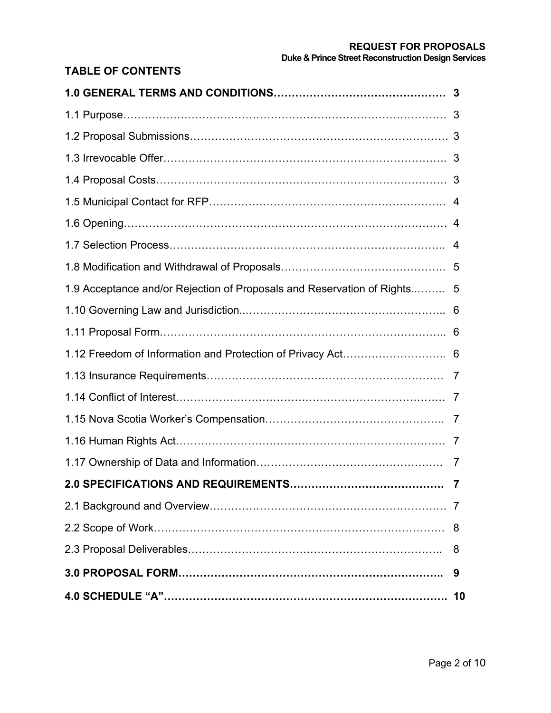## **REQUEST FOR PROPOSALS Duke & Prince Street Reconstruction Design Services**

## **TABLE OF CONTENTS**

| 1.9 Acceptance and/or Rejection of Proposals and Reservation of Rights 5 |    |
|--------------------------------------------------------------------------|----|
|                                                                          |    |
|                                                                          |    |
|                                                                          |    |
|                                                                          |    |
|                                                                          |    |
|                                                                          |    |
|                                                                          |    |
|                                                                          | 7  |
| 2.0 SPECIFICATIONS AND REQUIREMENTS<br>. 7                               |    |
|                                                                          | 7  |
|                                                                          | 8  |
|                                                                          | 8  |
|                                                                          | 9  |
|                                                                          | 10 |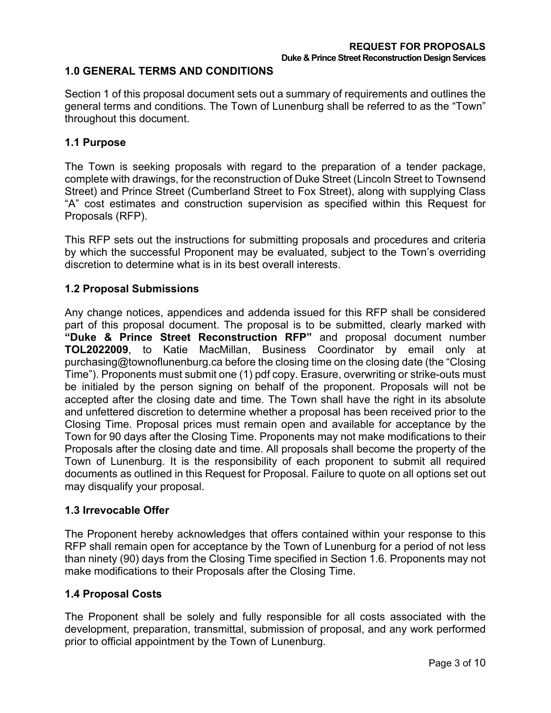## **1.0 GENERAL TERMS AND CONDITIONS**

Section 1 of this proposal document sets out a summary of requirements and outlines the general terms and conditions. The Town of Lunenburg shall be referred to as the "Town" throughout this document.

## **1.1 Purpose**

The Town is seeking proposals with regard to the preparation of a tender package, complete with drawings, for the reconstruction of Duke Street (Lincoln Street to Townsend Street) and Prince Street (Cumberland Street to Fox Street), along with supplying Class "A" cost estimates and construction supervision as specified within this Request for Proposals (RFP).

This RFP sets out the instructions for submitting proposals and procedures and criteria by which the successful Proponent may be evaluated, subject to the Town's overriding discretion to determine what is in its best overall interests.

## **1.2 Proposal Submissions**

Any change notices, appendices and addenda issued for this RFP shall be considered part of this proposal document. The proposal is to be submitted, clearly marked with **"Duke & Prince Street Reconstruction RFP"** and proposal document number **TOL2022009**, to Katie MacMillan, Business Coordinator by email only at purchasing@townoflunenburg.ca before the closing time on the closing date (the "Closing Time"). Proponents must submit one (1) pdf copy. Erasure, overwriting or strike-outs must be initialed by the person signing on behalf of the proponent. Proposals will not be accepted after the closing date and time. The Town shall have the right in its absolute and unfettered discretion to determine whether a proposal has been received prior to the Closing Time. Proposal prices must remain open and available for acceptance by the Town for 90 days after the Closing Time. Proponents may not make modifications to their Proposals after the closing date and time. All proposals shall become the property of the Town of Lunenburg. It is the responsibility of each proponent to submit all required documents as outlined in this Request for Proposal. Failure to quote on all options set out may disqualify your proposal.

#### **1.3 Irrevocable Offer**

The Proponent hereby acknowledges that offers contained within your response to this RFP shall remain open for acceptance by the Town of Lunenburg for a period of not less than ninety (90) days from the Closing Time specified in Section 1.6. Proponents may not make modifications to their Proposals after the Closing Time.

## **1.4 Proposal Costs**

The Proponent shall be solely and fully responsible for all costs associated with the development, preparation, transmittal, submission of proposal, and any work performed prior to official appointment by the Town of Lunenburg.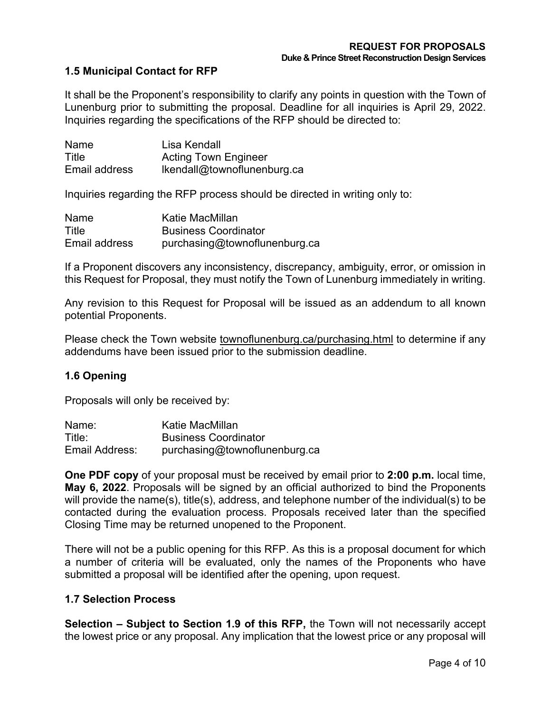## **1.5 Municipal Contact for RFP**

It shall be the Proponent's responsibility to clarify any points in question with the Town of Lunenburg prior to submitting the proposal. Deadline for all inquiries is April 29, 2022. Inquiries regarding the specifications of the RFP should be directed to:

| Name          | Lisa Kendall                |
|---------------|-----------------------------|
| Title         | <b>Acting Town Engineer</b> |
| Email address | Ikendall@townoflunenburg.ca |

Inquiries regarding the RFP process should be directed in writing only to:

| Name          | Katie MacMillan               |
|---------------|-------------------------------|
| Title         | <b>Business Coordinator</b>   |
| Email address | purchasing@townoflunenburg.ca |

If a Proponent discovers any inconsistency, discrepancy, ambiguity, error, or omission in this Request for Proposal, they must notify the Town of Lunenburg immediately in writing.

Any revision to this Request for Proposal will be issued as an addendum to all known potential Proponents.

Please check the Town website townoflunenburg.ca/purchasing.html to determine if any addendums have been issued prior to the submission deadline.

#### **1.6 Opening**

Proposals will only be received by:

| Name:          | Katie MacMillan               |
|----------------|-------------------------------|
| Title:         | <b>Business Coordinator</b>   |
| Email Address: | purchasing@townoflunenburg.ca |

**One PDF copy** of your proposal must be received by email prior to **2:00 p.m.** local time, **May 6, 2022**. Proposals will be signed by an official authorized to bind the Proponents will provide the name(s), title(s), address, and telephone number of the individual(s) to be contacted during the evaluation process. Proposals received later than the specified Closing Time may be returned unopened to the Proponent.

There will not be a public opening for this RFP. As this is a proposal document for which a number of criteria will be evaluated, only the names of the Proponents who have submitted a proposal will be identified after the opening, upon request.

#### **1.7 Selection Process**

**Selection – Subject to Section 1.9 of this RFP,** the Town will not necessarily accept the lowest price or any proposal. Any implication that the lowest price or any proposal will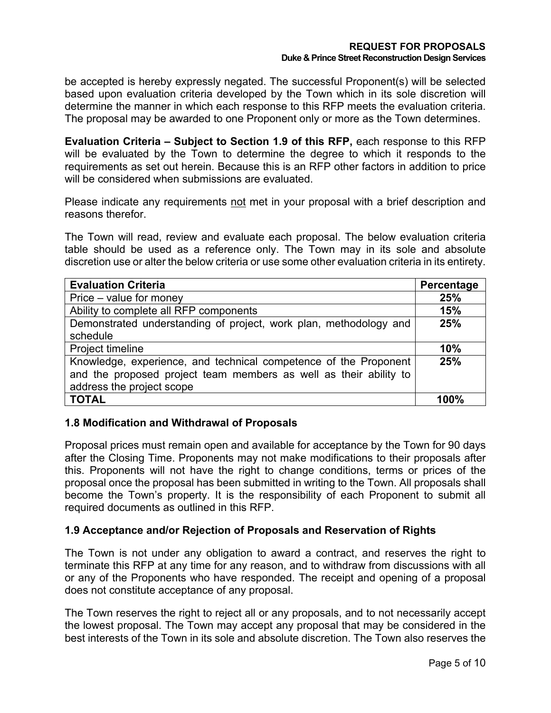be accepted is hereby expressly negated. The successful Proponent(s) will be selected based upon evaluation criteria developed by the Town which in its sole discretion will determine the manner in which each response to this RFP meets the evaluation criteria. The proposal may be awarded to one Proponent only or more as the Town determines.

**Evaluation Criteria – Subject to Section 1.9 of this RFP,** each response to this RFP will be evaluated by the Town to determine the degree to which it responds to the requirements as set out herein. Because this is an RFP other factors in addition to price will be considered when submissions are evaluated.

Please indicate any requirements not met in your proposal with a brief description and reasons therefor.

The Town will read, review and evaluate each proposal. The below evaluation criteria table should be used as a reference only. The Town may in its sole and absolute discretion use or alter the below criteria or use some other evaluation criteria in its entirety.

| <b>Evaluation Criteria</b>                                        | Percentage |
|-------------------------------------------------------------------|------------|
| Price – value for money                                           | 25%        |
| Ability to complete all RFP components                            | 15%        |
| Demonstrated understanding of project, work plan, methodology and | 25%        |
| schedule                                                          |            |
| Project timeline                                                  | 10%        |
| Knowledge, experience, and technical competence of the Proponent  | 25%        |
| and the proposed project team members as well as their ability to |            |
| address the project scope                                         |            |
| <b>TOTAL</b>                                                      | 100%       |

## **1.8 Modification and Withdrawal of Proposals**

Proposal prices must remain open and available for acceptance by the Town for 90 days after the Closing Time. Proponents may not make modifications to their proposals after this. Proponents will not have the right to change conditions, terms or prices of the proposal once the proposal has been submitted in writing to the Town. All proposals shall become the Town's property. It is the responsibility of each Proponent to submit all required documents as outlined in this RFP.

## **1.9 Acceptance and/or Rejection of Proposals and Reservation of Rights**

The Town is not under any obligation to award a contract, and reserves the right to terminate this RFP at any time for any reason, and to withdraw from discussions with all or any of the Proponents who have responded. The receipt and opening of a proposal does not constitute acceptance of any proposal.

The Town reserves the right to reject all or any proposals, and to not necessarily accept the lowest proposal. The Town may accept any proposal that may be considered in the best interests of the Town in its sole and absolute discretion. The Town also reserves the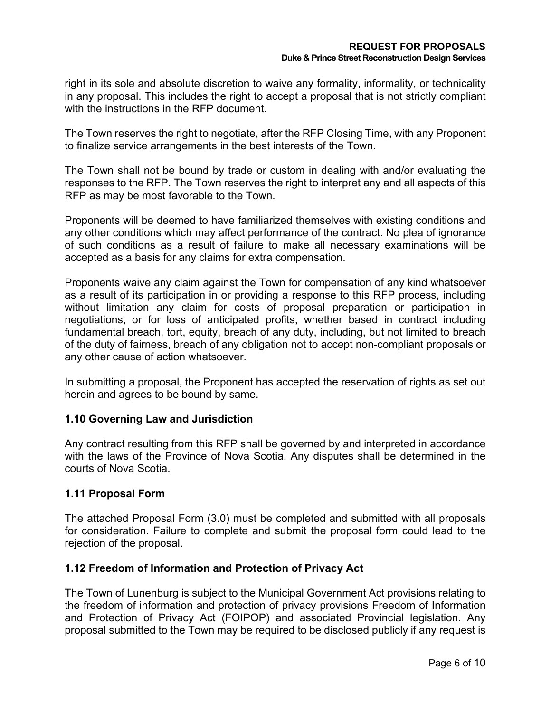right in its sole and absolute discretion to waive any formality, informality, or technicality in any proposal. This includes the right to accept a proposal that is not strictly compliant with the instructions in the RFP document.

The Town reserves the right to negotiate, after the RFP Closing Time, with any Proponent to finalize service arrangements in the best interests of the Town.

The Town shall not be bound by trade or custom in dealing with and/or evaluating the responses to the RFP. The Town reserves the right to interpret any and all aspects of this RFP as may be most favorable to the Town.

Proponents will be deemed to have familiarized themselves with existing conditions and any other conditions which may affect performance of the contract. No plea of ignorance of such conditions as a result of failure to make all necessary examinations will be accepted as a basis for any claims for extra compensation.

Proponents waive any claim against the Town for compensation of any kind whatsoever as a result of its participation in or providing a response to this RFP process, including without limitation any claim for costs of proposal preparation or participation in negotiations, or for loss of anticipated profits, whether based in contract including fundamental breach, tort, equity, breach of any duty, including, but not limited to breach of the duty of fairness, breach of any obligation not to accept non-compliant proposals or any other cause of action whatsoever.

In submitting a proposal, the Proponent has accepted the reservation of rights as set out herein and agrees to be bound by same.

## **1.10 Governing Law and Jurisdiction**

Any contract resulting from this RFP shall be governed by and interpreted in accordance with the laws of the Province of Nova Scotia. Any disputes shall be determined in the courts of Nova Scotia.

## **1.11 Proposal Form**

The attached Proposal Form (3.0) must be completed and submitted with all proposals for consideration. Failure to complete and submit the proposal form could lead to the rejection of the proposal.

#### **1.12 Freedom of Information and Protection of Privacy Act**

The Town of Lunenburg is subject to the Municipal Government Act provisions relating to the freedom of information and protection of privacy provisions Freedom of Information and Protection of Privacy Act (FOIPOP) and associated Provincial legislation. Any proposal submitted to the Town may be required to be disclosed publicly if any request is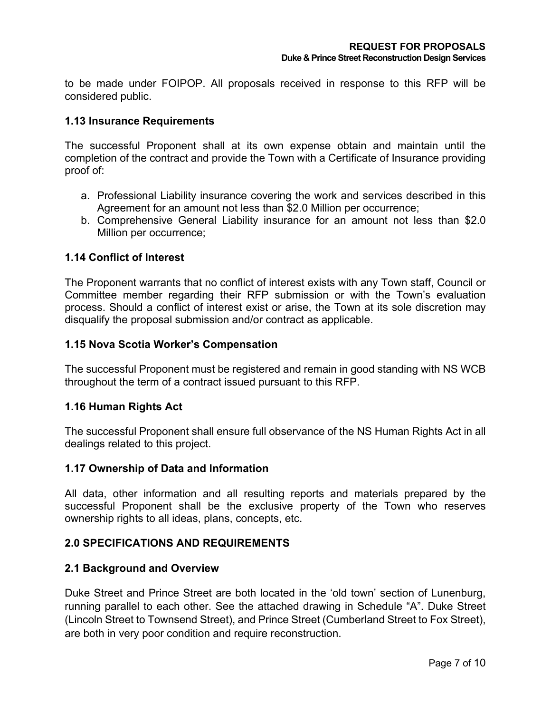to be made under FOIPOP. All proposals received in response to this RFP will be considered public.

## **1.13 Insurance Requirements**

The successful Proponent shall at its own expense obtain and maintain until the completion of the contract and provide the Town with a Certificate of Insurance providing proof of:

- a. Professional Liability insurance covering the work and services described in this Agreement for an amount not less than \$2.0 Million per occurrence;
- b. Comprehensive General Liability insurance for an amount not less than \$2.0 Million per occurrence;

## **1.14 Conflict of Interest**

The Proponent warrants that no conflict of interest exists with any Town staff, Council or Committee member regarding their RFP submission or with the Town's evaluation process. Should a conflict of interest exist or arise, the Town at its sole discretion may disqualify the proposal submission and/or contract as applicable.

#### **1.15 Nova Scotia Worker's Compensation**

The successful Proponent must be registered and remain in good standing with NS WCB throughout the term of a contract issued pursuant to this RFP.

#### **1.16 Human Rights Act**

The successful Proponent shall ensure full observance of the NS Human Rights Act in all dealings related to this project.

#### **1.17 Ownership of Data and Information**

All data, other information and all resulting reports and materials prepared by the successful Proponent shall be the exclusive property of the Town who reserves ownership rights to all ideas, plans, concepts, etc.

#### **2.0 SPECIFICATIONS AND REQUIREMENTS**

#### **2.1 Background and Overview**

Duke Street and Prince Street are both located in the 'old town' section of Lunenburg, running parallel to each other. See the attached drawing in Schedule "A". Duke Street (Lincoln Street to Townsend Street), and Prince Street (Cumberland Street to Fox Street), are both in very poor condition and require reconstruction.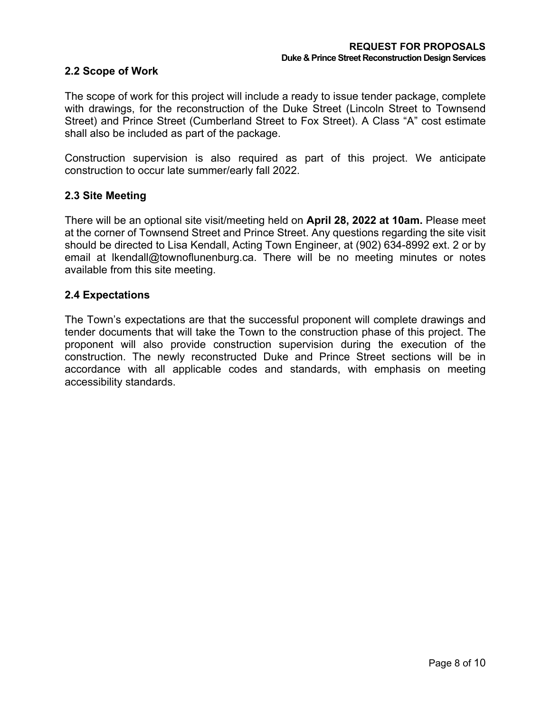#### **2.2 Scope of Work**

The scope of work for this project will include a ready to issue tender package, complete with drawings, for the reconstruction of the Duke Street (Lincoln Street to Townsend Street) and Prince Street (Cumberland Street to Fox Street). A Class "A" cost estimate shall also be included as part of the package.

Construction supervision is also required as part of this project. We anticipate construction to occur late summer/early fall 2022.

## **2.3 Site Meeting**

There will be an optional site visit/meeting held on **April 28, 2022 at 10am.** Please meet at the corner of Townsend Street and Prince Street. Any questions regarding the site visit should be directed to Lisa Kendall, Acting Town Engineer, at (902) 634-8992 ext. 2 or by email at lkendall@townoflunenburg.ca. There will be no meeting minutes or notes available from this site meeting.

## **2.4 Expectations**

The Town's expectations are that the successful proponent will complete drawings and tender documents that will take the Town to the construction phase of this project. The proponent will also provide construction supervision during the execution of the construction. The newly reconstructed Duke and Prince Street sections will be in accordance with all applicable codes and standards, with emphasis on meeting accessibility standards.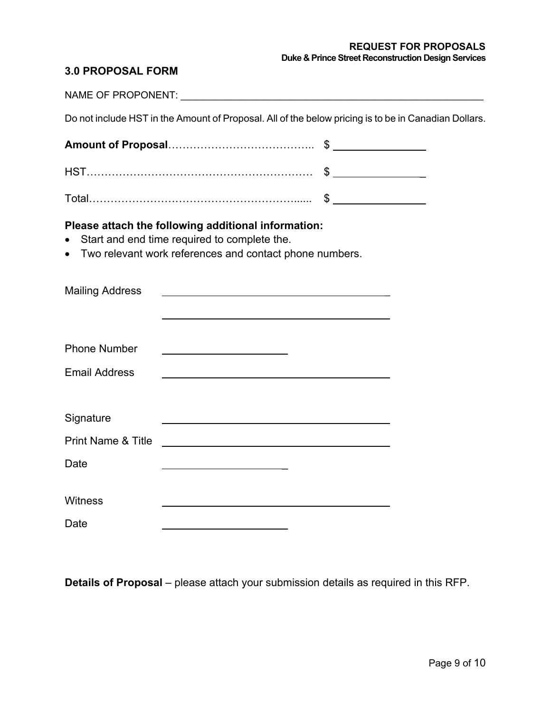## **3.0 PROPOSAL FORM**

|                               | Do not include HST in the Amount of Proposal. All of the below pricing is to be in Canadian Dollars.                                                           |  |
|-------------------------------|----------------------------------------------------------------------------------------------------------------------------------------------------------------|--|
|                               |                                                                                                                                                                |  |
|                               |                                                                                                                                                                |  |
|                               |                                                                                                                                                                |  |
|                               | Please attach the following additional information:<br>Start and end time required to complete the.<br>Two relevant work references and contact phone numbers. |  |
| <b>Mailing Address</b>        | <u> 1980 - Johann Barbara, martxa alemaniar arg</u>                                                                                                            |  |
| <b>Phone Number</b>           |                                                                                                                                                                |  |
| <b>Email Address</b>          |                                                                                                                                                                |  |
| Signature                     |                                                                                                                                                                |  |
| <b>Print Name &amp; Title</b> | <u> 1989 - Johann Stoff, deutscher Stoff, der Stoff, der Stoff, der Stoff, der Stoff, der Stoff, der Stoff, der S</u>                                          |  |
| Date                          |                                                                                                                                                                |  |
| Witness                       |                                                                                                                                                                |  |
| Date                          |                                                                                                                                                                |  |

**Details of Proposal** – please attach your submission details as required in this RFP.